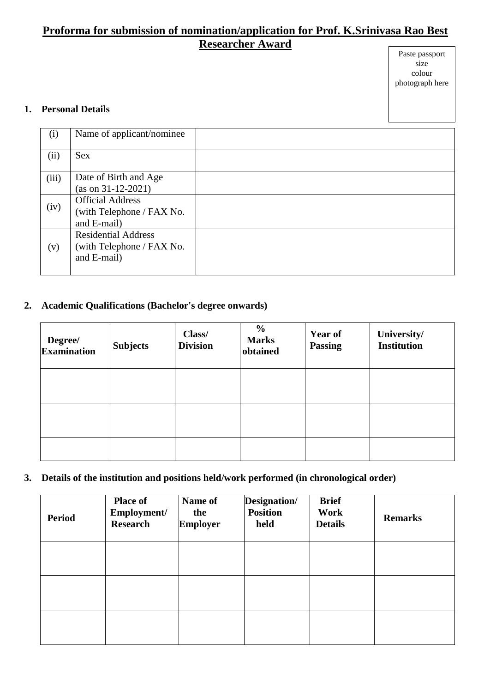# **Proforma for submission of nomination/application for Prof. K.Srinivasa Rao Best Researcher Award**

#### Paste passport size colour photograph here

#### **1. Personal Details**

| (i)   | Name of applicant/nominee                                              |  |
|-------|------------------------------------------------------------------------|--|
| (ii)  | <b>Sex</b>                                                             |  |
| (iii) | Date of Birth and Age<br>$(as on 31-12-2021)$                          |  |
| (iv)  | <b>Official Address</b><br>(with Telephone / FAX No.<br>and E-mail)    |  |
| (v)   | <b>Residential Address</b><br>(with Telephone / FAX No.<br>and E-mail) |  |

## **2. Academic Qualifications (Bachelor's degree onwards)**

| Degree/<br>Examination | <b>Subjects</b> | Class/<br><b>Division</b> | $\frac{0}{0}$<br><b>Marks</b><br>obtained | <b>Year of</b><br><b>Passing</b> | University/<br><b>Institution</b> |
|------------------------|-----------------|---------------------------|-------------------------------------------|----------------------------------|-----------------------------------|
|                        |                 |                           |                                           |                                  |                                   |
|                        |                 |                           |                                           |                                  |                                   |
|                        |                 |                           |                                           |                                  |                                   |

## **3. Details of the institution and positions held/work performed (in chronological order)**

| <b>Period</b> | <b>Place of</b><br>Employment/<br><b>Research</b> | Name of<br>the<br><b>Employer</b> | Designation/<br><b>Position</b><br>held | <b>Brief</b><br>Work<br><b>Details</b> | <b>Remarks</b> |
|---------------|---------------------------------------------------|-----------------------------------|-----------------------------------------|----------------------------------------|----------------|
|               |                                                   |                                   |                                         |                                        |                |
|               |                                                   |                                   |                                         |                                        |                |
|               |                                                   |                                   |                                         |                                        |                |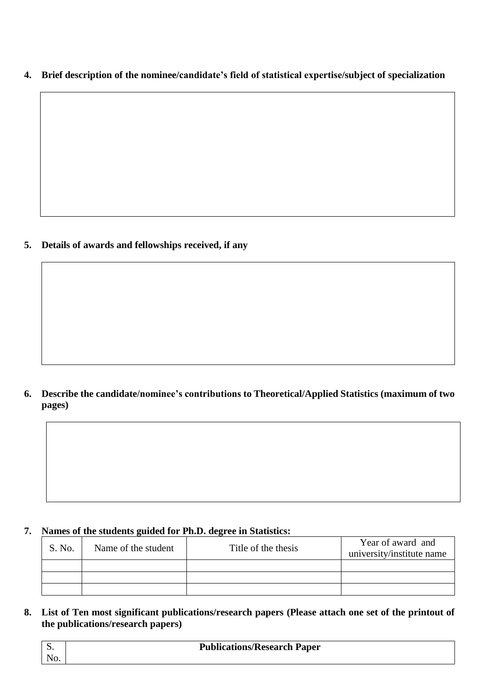**4. Brief description of the nominee/candidate's field of statistical expertise/subject of specialization**

**5. Details of awards and fellowships received, if any**

**6. Describe the candidate/nominee's contributions to Theoretical/Applied Statistics (maximum of two pages)**

## **7. Names of the students guided for Ph.D. degree in Statistics:**

| S. No. | Name of the student | Title of the thesis | Year of award and<br>university/institute name |
|--------|---------------------|---------------------|------------------------------------------------|
|        |                     |                     |                                                |
|        |                     |                     |                                                |
|        |                     |                     |                                                |

**8. List of Ten most significant publications/research papers (Please attach one set of the printout of the publications/research papers)**

| D.  | <b>Publications/Research Paper</b> |
|-----|------------------------------------|
| No. |                                    |